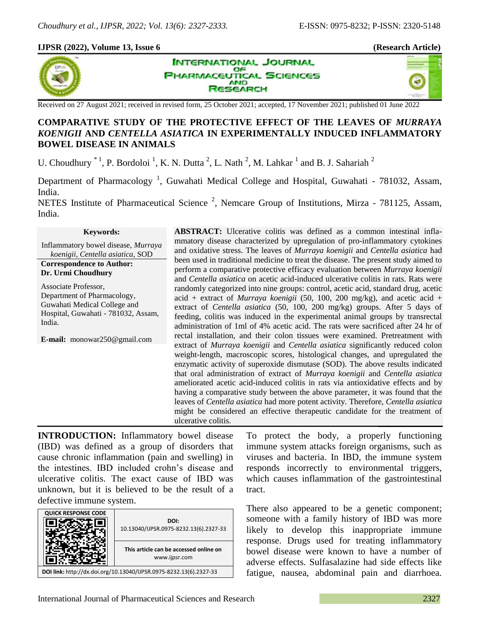### **IJPSR (2022), Volume 13, Issue 6 (Research Article)**





Received on 27 August 2021; received in revised form, 25 October 2021; accepted, 17 November 2021; published 01 June 2022

# **COMPARATIVE STUDY OF THE PROTECTIVE EFFECT OF THE LEAVES OF** *MURRAYA KOENIGII* **AND** *CENTELLA ASIATICA* **IN EXPERIMENTALLY INDUCED INFLAMMATORY BOWEL DISEASE IN ANIMALS**

**INTERNATIONAL JOURNAL** OF **HARMACEUTICAL SCIENCES** 

> **AND ISEARCH**

U. Choudhury  $*$ <sup>1</sup>, P. Bordoloi<sup>1</sup>, K. N. Dutta<sup>2</sup>, L. Nath<sup>2</sup>, M. Lahkar<sup>1</sup> and B. J. Sahariah<sup>2</sup>

Department of Pharmacology<sup>1</sup>, Guwahati Medical College and Hospital, Guwahati - 781032, Assam, India. NETES Institute of Pharmaceutical Science<sup>2</sup>, Nemcare Group of Institutions, Mirza - 781125, Assam,

India.

#### **Keywords:**

Inflammatory bowel disease, *Murraya koenigii, Centella asiatica*, SOD

**Correspondence to Author: Dr. Urmi Choudhury**

Associate Professor, Department of Pharmacology, Guwahati Medical College and Hospital, Guwahati - 781032, Assam, India.

**E-mail:** monowar250@gmail.com

**ABSTRACT:** Ulcerative colitis was defined as a common intestinal inflammatory disease characterized by upregulation of pro-inflammatory cytokines and oxidative stress. The leaves of *Murraya koenigii* and *Centella asiatica* had been used in traditional medicine to treat the disease. The present study aimed to perform a comparative protective efficacy evaluation between *Murraya koenigii* and *Centella asiatica* on acetic acid-induced ulcerative colitis in rats. Rats were randomly categorized into nine groups: control, acetic acid, standard drug, acetic acid + extract of *Murraya koenigii* (50, 100, 200 mg/kg), and acetic acid + extract of *Centella asiatica* (50, 100, 200 mg/kg) groups. After 5 days of feeding, colitis was induced in the experimental animal groups by transrectal administration of 1ml of 4% acetic acid. The rats were sacrificed after 24 hr of rectal installation, and their colon tissues were examined. Pretreatment with extract of *Murraya koenigii* and *Centella asiatica* significantly reduced colon weight-length, macroscopic scores, histological changes, and upregulated the enzymatic activity of superoxide dismutase (SOD). The above results indicated that oral administration of extract of *Murraya koenigii* and *Centella asiatica* ameliorated acetic acid-induced colitis in rats via antioxidative effects and by having a comparative study between the above parameter, it was found that the leaves of *Centella asiatica* had more potent activity*.* Therefore, *Centella asiatica*  might be considered an effective therapeutic candidate for the treatment of ulcerative colitis.

**INTRODUCTION:** Inflammatory bowel disease (IBD) was defined as a group of disorders that cause chronic inflammation (pain and swelling) in the intestines. IBD included crohn's disease and ulcerative colitis. The exact cause of IBD was unknown, but it is believed to be the result of a defective immune system.

| <b>QUICK RESPONSE CODE</b>                                         | DOI:<br>10.13040/IJPSR.0975-8232.13(6).2327-33          |
|--------------------------------------------------------------------|---------------------------------------------------------|
|                                                                    | This article can be accessed online on<br>www.ijpsr.com |
| DOI link: http://dx.doi.org/10.13040/IJPSR.0975-8232.13(6).2327-33 |                                                         |

To protect the body, a properly functioning immune system attacks foreign organisms, such as viruses and bacteria. In IBD, the immune system responds incorrectly to environmental triggers, which causes inflammation of the gastrointestinal tract.

There also appeared to be a genetic component; someone with a family history of IBD was more likely to develop this inappropriate immune response. Drugs used for treating inflammatory bowel disease were known to have a number of adverse effects. Sulfasalazine had side effects like fatigue, nausea, abdominal pain and diarrhoea.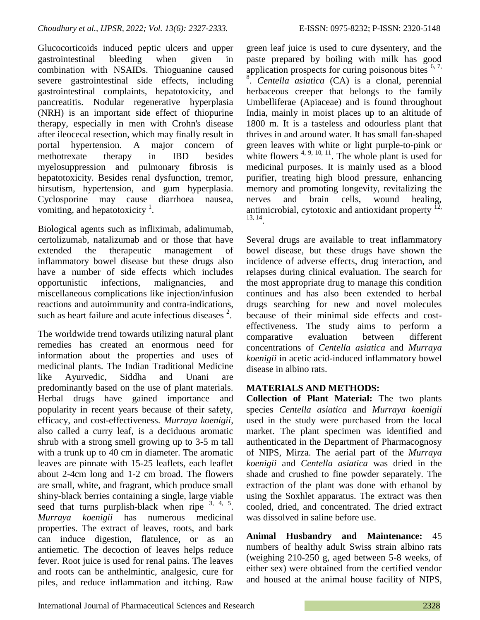Glucocorticoids induced peptic ulcers and upper gastrointestinal bleeding when given in combination with NSAIDs. Thioguanine caused severe gastrointestinal side effects, including gastrointestinal complaints, hepatotoxicity, and pancreatitis. Nodular regenerative hyperplasia (NRH) is an important side effect of thiopurine therapy, especially in men with Crohn's disease after ileocecal resection, which may finally result in portal hypertension. A major concern of methotrexate therapy in IBD besides myelosuppression and pulmonary fibrosis is hepatotoxicity. Besides renal dysfunction, tremor, hirsutism, hypertension, and gum hyperplasia. Cyclosporine may cause diarrhoea nausea, vomiting, and hepatotoxicity $<sup>1</sup>$ .</sup>

Biological agents such as infliximab, adalimumab, certolizumab, natalizumab and or those that have extended the therapeutic management of inflammatory bowel disease but these drugs also have a number of side effects which includes opportunistic infections, malignancies, and miscellaneous complications like injection/infusion reactions and autoimmunity and contra-indications, such as heart failure and acute infectious diseases  $2$ .

The worldwide trend towards utilizing natural plant remedies has created an enormous need for information about the properties and uses of medicinal plants. The Indian Traditional Medicine like Ayurvedic, Siddha and Unani are predominantly based on the use of plant materials. Herbal drugs have gained importance and popularity in recent years because of their safety, efficacy, and cost-effectiveness. *Murraya koenigii*, also called a curry leaf, is a deciduous aromatic shrub with a strong smell growing up to 3-5 m tall with a trunk up to 40 cm in diameter. The aromatic leaves are pinnate with 15-25 leaflets, each leaflet about 2-4cm long and 1-2 cm broad. The flowers are small, white, and fragrant, which produce small shiny-black berries containing a single, large viable seed that turns purplish-black when ripe  $3, 4, 5$ . *Murraya koenigii* has numerous medicinal properties. The extract of leaves, roots, and bark can induce digestion, flatulence, or as an antiemetic. The decoction of leaves helps reduce fever. Root juice is used for renal pains. The leaves and roots can be anthelmintic, analgesic, cure for piles, and reduce inflammation and itching. Raw

green leaf juice is used to cure dysentery, and the paste prepared by boiling with milk has good application prospects for curing poisonous bites  $6, 7$ , <sup>8</sup>. Centella asiatica (CA) is a clonal, perennial herbaceous creeper that belongs to the family Umbelliferae (Apiaceae) and is found throughout India, mainly in moist places up to an altitude of 1800 m. It is a tasteless and odourless plant that thrives in and around water. It has small fan-shaped green leaves with white or light purple-to-pink or white flowers  $4, 9, 10, 11$ . The whole plant is used for medicinal purposes. It is mainly used as a blood purifier, treating high blood pressure, enhancing memory and promoting longevity, revitalizing the nerves and brain cells, wound healing, antimicrobial, cytotoxic and antioxidant property  $12$ , 13, 14 .

Several drugs are available to treat inflammatory bowel disease, but these drugs have shown the incidence of adverse effects, drug interaction, and relapses during clinical evaluation. The search for the most appropriate drug to manage this condition continues and has also been extended to herbal drugs searching for new and novel molecules because of their minimal side effects and costeffectiveness. The study aims to perform a comparative evaluation between different concentrations of *Centella asiatica* and *Murraya koenigii* in acetic acid-induced inflammatory bowel disease in albino rats.

# **MATERIALS AND METHODS:**

**Collection of Plant Material:** The two plants species *Centella asiatica* and *Murraya koenigii* used in the study were purchased from the local market. The plant specimen was identified and authenticated in the Department of Pharmacognosy of NIPS, Mirza. The aerial part of the *Murraya koenigii* and *Centella asiatica* was dried in the shade and crushed to fine powder separately. The extraction of the plant was done with ethanol by using the Soxhlet apparatus. The extract was then cooled, dried, and concentrated. The dried extract was dissolved in saline before use.

**Animal Husbandry and Maintenance:** 45 numbers of healthy adult Swiss strain albino rats (weighing 210-250 g, aged between 5-8 weeks, of either sex) were obtained from the certified vendor and housed at the animal house facility of NIPS,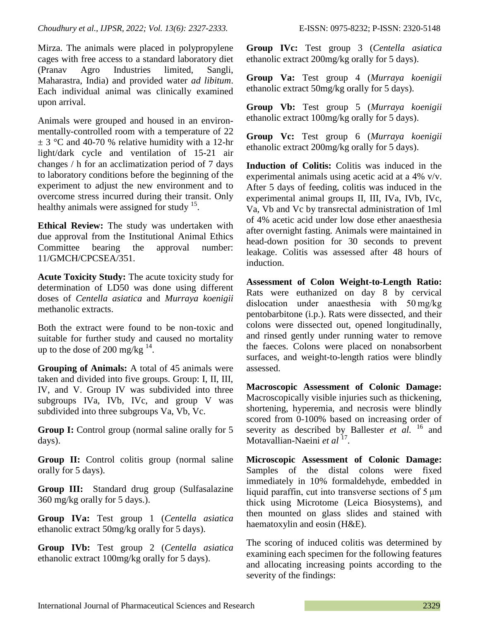Mirza. The animals were placed in polypropylene cages with free access to a standard laboratory diet (Pranav Agro Industries limited, Sangli, Maharastra, India) and provided water *ad libitum*. Each individual animal was clinically examined upon arrival.

Animals were grouped and housed in an environmentally-controlled room with a temperature of 22  $\pm$  3 °C and 40-70 % relative humidity with a 12-hr light/dark cycle and ventilation of 15-21 air changes / h for an acclimatization period of 7 days to laboratory conditions before the beginning of the experiment to adjust the new environment and to overcome stress incurred during their transit. Only healthy animals were assigned for study <sup>15</sup>.

**Ethical Review:** The study was undertaken with due approval from the Institutional Animal Ethics Committee bearing the approval number: 11/GMCH/CPCSEA/351.

**Acute Toxicity Study:** The acute toxicity study for determination of LD50 was done using different doses of *Centella asiatica* and *Murraya koenigii* methanolic extracts.

Both the extract were found to be non-toxic and suitable for further study and caused no mortality up to the dose of 200 mg/kg  $^{14}$ .

**Grouping of Animals:** A total of 45 animals were taken and divided into five groups. Group: I, II, III, IV, and V. Group IV was subdivided into three subgroups IVa, IVb, IVc, and group V was subdivided into three subgroups Va, Vb, Vc.

**Group I:** Control group (normal saline orally for 5 days).

**Group II:** Control colitis group (normal saline orally for 5 days).

**Group III:** Standard drug group (Sulfasalazine 360 mg/kg orally for 5 days.).

**Group IVa:** Test group 1 (*Centella asiatica* ethanolic extract 50mg/kg orally for 5 days).

**Group IVb:** Test group 2 (*Centella asiatica* ethanolic extract 100mg/kg orally for 5 days).

**Group IVc:** Test group 3 (*Centella asiatica* ethanolic extract 200mg/kg orally for 5 days).

**Group Va:** Test group 4 (*Murraya koenigii* ethanolic extract 50mg/kg orally for 5 days).

**Group Vb:** Test group 5 (*Murraya koenigii* ethanolic extract 100mg/kg orally for 5 days).

**Group Vc:** Test group 6 (*Murraya koenigii* ethanolic extract 200mg/kg orally for 5 days).

**Induction of Colitis:** Colitis was induced in the experimental animals using acetic acid at a 4% v/v. After 5 days of feeding, colitis was induced in the experimental animal groups II, III, IVa, IVb, IVc, Va, Vb and Vc by transrectal administration of 1ml of 4% acetic acid under low dose ether anaesthesia after overnight fasting. Animals were maintained in head-down position for 30 seconds to prevent leakage. Colitis was assessed after 48 hours of induction.

**Assessment of Colon Weight-to-Length Ratio:**  Rats were euthanized on day 8 by cervical dislocation under anaesthesia with 50 mg/kg pentobarbitone (i.p.). Rats were dissected, and their colons were dissected out, opened longitudinally, and rinsed gently under running water to remove the faeces. Colons were placed on nonabsorbent surfaces, and weight-to-length ratios were blindly assessed.

**Macroscopic Assessment of Colonic Damage:**  Macroscopically visible injuries such as thickening, shortening, hyperemia, and necrosis were blindly scored from 0-100% based on increasing order of severity as described by Ballester *et al.* <sup>16</sup> and Motavallian-Naeini *et al* <sup>17</sup>.

**Microscopic Assessment of Colonic Damage:**  Samples of the distal colons were fixed immediately in 10% formaldehyde, embedded in liquid paraffin, cut into transverse sections of 5 μm thick using Microtome (Leica Biosystems), and then mounted on glass slides and stained with haematoxylin and eosin (H&E).

The scoring of induced colitis was determined by examining each specimen for the following features and allocating increasing points according to the severity of the findings: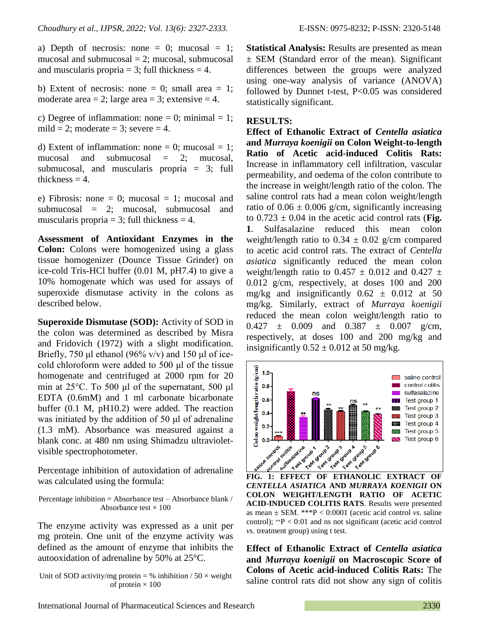a) Depth of necrosis: none  $= 0$ ; mucosal  $= 1$ ; mucosal and submucosal  $= 2$ ; mucosal, submucosal and muscularis propria  $=$  3; full thickness  $=$  4.

b) Extent of necrosis: none  $= 0$ ; small area  $= 1$ ; moderate area  $= 2$ ; large area  $= 3$ ; extensive  $= 4$ .

c) Degree of inflammation: none = 0; minimal = 1; mild = 2; moderate = 3; severe = 4.

d) Extent of inflammation: none = 0; mucosal = 1; mucosal and submucosal = 2; mucosal, submucosal, and muscularis propria = 3; full thickness  $= 4$ .

e) Fibrosis: none = 0; mucosal = 1; mucosal and submucosal = 2; mucosal, submucosal and muscularis propria  $= 3$ ; full thickness  $= 4$ .

**Assessment of Antioxidant Enzymes in the Colon:** Colons were homogenized using a glass tissue homogenizer (Dounce Tissue Grinder) on ice-cold Tris-HCl buffer (0.01 M, pH7.4) to give a 10% homogenate which was used for assays of superoxide dismutase activity in the colons as described below.

**Superoxide Dismutase (SOD):** Activity of SOD in the colon was determined as described by Misra and Fridovich (1972) with a slight modification. Briefly, 750 μl ethanol (96% v/v) and 150 μl of icecold chloroform were added to 500 μl of the tissue homogenate and centrifuged at 2000 rpm for 20 min at 25°C. To 500 μl of the supernatant, 500 μl EDTA (0.6mM) and 1 ml carbonate bicarbonate buffer (0.1 M, pH10.2) were added. The reaction was initiated by the addition of 50 μl of adrenaline (1.3 mM). Absorbance was measured against a blank conc. at 480 nm using Shimadzu ultravioletvisible spectrophotometer.

Percentage inhibition of autoxidation of adrenaline was calculated using the formula:

Percentage inhibition = Absorbance test – Absorbance blank / Absorbance test  $\times$  100

The enzyme activity was expressed as a unit per mg protein. One unit of the enzyme activity was defined as the amount of enzyme that inhibits the autooxidation of adrenaline by 50% at 25°C.

Unit of SOD activity/mg protein = % inhibition /  $50 \times$  weight of protein  $\times$  100

**Statistical Analysis:** Results are presented as mean ± SEM (Standard error of the mean). Significant differences between the groups were analyzed using one-way analysis of variance (ANOVA) followed by Dunnet t-test, P<0.05 was considered statistically significant.

#### **RESULTS:**

**Effect of Ethanolic Extract of** *Centella asiatica* **and** *Murraya koenigii* **on Colon Weight-to-length Ratio of Acetic acid-induced Colitis Rats:**  Increase in inflammatory cell infiltration, vascular permeability, and oedema of the colon contribute to the increase in weight/length ratio of the colon. The saline control rats had a mean colon weight/length ratio of  $0.06 \pm 0.006$  g/cm, significantly increasing to  $0.723 \pm 0.04$  in the acetic acid control rats (Fig. **1**. Sulfasalazine reduced this mean colon weight/length ratio to  $0.34 \pm 0.02$  g/cm compared to acetic acid control rats. The extract of *Centella asiatica* significantly reduced the mean colon weight/length ratio to 0.457  $\pm$  0.012 and 0.427  $\pm$ 0.012 g/cm, respectively, at doses 100 and 200 mg/kg and insignificantly  $0.62 \pm 0.012$  at 50 mg/kg. Similarly, extract of *Murraya koenigii*  reduced the mean colon weight/length ratio to  $0.427 \pm 0.009$  and  $0.387 \pm 0.007$  g/cm, respectively, at doses 100 and 200 mg/kg and insignificantly  $0.52 \pm 0.012$  at 50 mg/kg.



*CENTELLA ASIATICA* **AND** *MURRAYA KOENIGII* **ON COLON WEIGHT/LENGTH RATIO OF ACETIC ACID-INDUCED COLITIS RATS**. Results were presented as mean ± SEM. \*\*\*P < 0:0001 (acetic acid control *vs*. saline control); ∗∗P < 0:01 and ns not significant (acetic acid control *vs*. treatment group) using t test.

**Effect of Ethanolic Extract of** *Centella asiatica* **and** *Murraya koenigii* **on Macroscopic Score of Colons of Acetic acid-induced Colitis Rats:** The saline control rats did not show any sign of colitis

International Journal of Pharmaceutical Sciences and Research 2330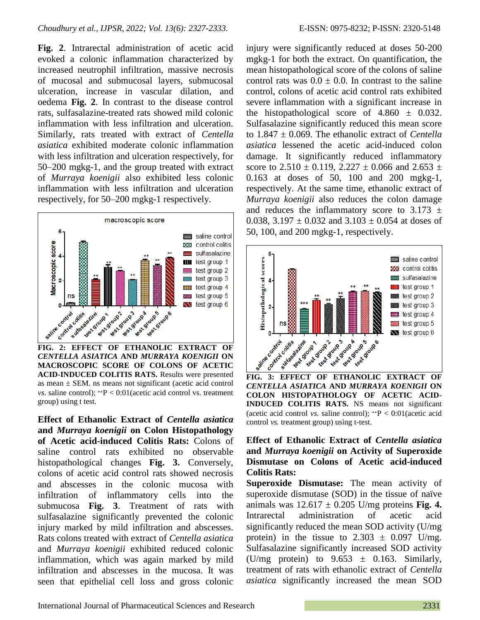**Fig. 2**. Intrarectal administration of acetic acid evoked a colonic inflammation characterized by increased neutrophil infiltration, massive necrosis of mucosal and submucosal layers, submucosal ulceration, increase in vascular dilation, and oedema **Fig. 2**. In contrast to the disease control rats, sulfasalazine-treated rats showed mild colonic inflammation with less infiltration and ulceration. Similarly, rats treated with extract of *Centella asiatica* exhibited moderate colonic inflammation with less infiltration and ulceration respectively, for 50–200 mgkg-1, and the group treated with extract of *Murraya koenigii* also exhibited less colonic inflammation with less infiltration and ulceration respectively, for 50–200 mgkg-1 respectively.



*CENTELLA ASIATICA* **AND** *MURRAYA KOENIGII* **ON MACROSCOPIC SCORE OF COLONS OF ACETIC ACID-INDUCED COLITIS RATS.** Results were presented as mean  $\pm$  SEM. ns means not significant (acetic acid control *vs*. saline control); \*\*P < 0:01(acetic acid control vs. treatment group) using t test.

**Effect of Ethanolic Extract of** *Centella asiatica* **and** *Murraya koenigii* **on Colon Histopathology of Acetic acid-induced Colitis Rats:** Colons of saline control rats exhibited no observable histopathological changes **Fig. 3.** Conversely, colons of acetic acid control rats showed necrosis and abscesses in the colonic mucosa with infiltration of inflammatory cells into the submucosa **Fig. 3**. Treatment of rats with sulfasalazine significantly prevented the colonic injury marked by mild infiltration and abscesses. Rats colons treated with extract of *Centella asiatica* and *Murraya koenigii* exhibited reduced colonic inflammation, which was again marked by mild infiltration and abscesses in the mucosa. It was seen that epithelial cell loss and gross colonic injury were significantly reduced at doses 50-200 mgkg-1 for both the extract. On quantification, the mean histopathological score of the colons of saline control rats was  $0.0 \pm 0.0$ . In contrast to the saline control, colons of acetic acid control rats exhibited severe inflammation with a significant increase in the histopathological score of  $4.860 \pm 0.032$ . Sulfasalazine significantly reduced this mean score to 1.847 ± 0.069. The ethanolic extract of *Centella asiatica* lessened the acetic acid-induced colon damage. It significantly reduced inflammatory score to  $2.510 \pm 0.119$ ,  $2.227 \pm 0.066$  and  $2.653 \pm 0.066$ 0.163 at doses of 50, 100 and 200 mgkg-1, respectively. At the same time, ethanolic extract of *Murraya koenigii* also reduces the colon damage and reduces the inflammatory score to  $3.173 \pm$ 0.038, 3.197  $\pm$  0.032 and 3.103  $\pm$  0.054 at doses of 50, 100, and 200 mgkg-1, respectively.



*CENTELLA ASIATICA* **AND** *MURRAYA KOENIGII* **ON COLON HISTOPATHOLOGY OF ACETIC ACID-INDUCED COLITIS RATS.** NS means not significant (acetic acid control *vs.* saline control); ∗∗P < 0:01(acetic acid control *vs.* treatment group) using t-test.

## **Effect of Ethanolic Extract of** *Centella asiatica* **and** *Murraya koenigii* **on Activity of Superoxide Dismutase on Colons of Acetic acid-induced Colitis Rats:**

**Superoxide Dismutase:** The mean activity of superoxide dismutase (SOD) in the tissue of naïve animals was  $12.617 \pm 0.205$  U/mg proteins **Fig. 4.** Intrarectal administration of acetic acid significantly reduced the mean SOD activity (U/mg protein) in the tissue to  $2.303 \pm 0.097$  U/mg. Sulfasalazine significantly increased SOD activity (U/mg protein) to  $9.653 \pm 0.163$ . Similarly, treatment of rats with ethanolic extract of *Centella asiatica* significantly increased the mean SOD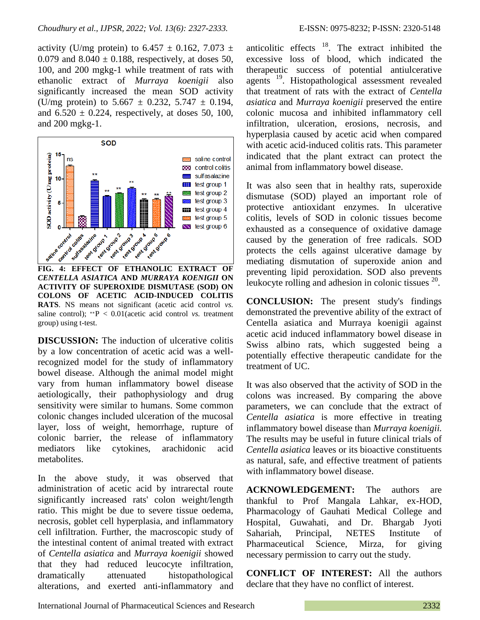activity (U/mg protein) to  $6.457 \pm 0.162$ ,  $7.073 \pm 1.073$ 0.079 and  $8.040 \pm 0.188$ , respectively, at doses 50, 100, and 200 mgkg-1 while treatment of rats with ethanolic extract of *Murraya koenigii* also significantly increased the mean SOD activity (U/mg protein) to  $5.667 \pm 0.232$ ,  $5.747 \pm 0.194$ , and  $6.520 \pm 0.224$ , respectively, at doses 50, 100, and 200 mgkg-1.



*CENTELLA ASIATICA* **AND** *MURRAYA KOENIGII* **ON ACTIVITY OF SUPEROXIDE DISMUTASE (SOD) ON COLONS OF ACETIC ACID-INDUCED COLITIS RATS**. NS means not significant (acetic acid control *vs.* saline control); ∗∗P < 0.01(acetic acid control *vs.* treatment group) using t-test.

**DISCUSSION:** The induction of ulcerative colitis by a low concentration of acetic acid was a wellrecognized model for the study of inflammatory bowel disease. Although the animal model might vary from human inflammatory bowel disease aetiologically, their pathophysiology and drug sensitivity were similar to humans. Some common colonic changes included ulceration of the mucosal layer, loss of weight, hemorrhage, rupture of colonic barrier, the release of inflammatory mediators like cytokines, arachidonic acid metabolites.

In the above study, it was observed that administration of acetic acid by intrarectal route significantly increased rats' colon weight/length ratio. This might be due to severe tissue oedema, necrosis, goblet cell hyperplasia, and inflammatory cell infiltration. Further, the macroscopic study of the intestinal content of animal treated with extract of *Centella asiatica* and *Murraya koenigii* showed that they had reduced leucocyte infiltration, dramatically attenuated histopathological alterations, and exerted anti-inflammatory and

anticolitic effects  $18$ . The extract inhibited the excessive loss of blood, which indicated the therapeutic success of potential antiulcerative agents<sup>19</sup>. Histopathological assessment revealed that treatment of rats with the extract of *Centella asiatica* and *Murraya koenigii* preserved the entire colonic mucosa and inhibited inflammatory cell infiltration, ulceration, erosions, necrosis, and hyperplasia caused by acetic acid when compared with acetic acid-induced colitis rats. This parameter indicated that the plant extract can protect the animal from inflammatory bowel disease.

It was also seen that in healthy rats, superoxide dismutase (SOD) played an important role of protective antioxidant enzymes. In ulcerative colitis, levels of SOD in colonic tissues become exhausted as a consequence of oxidative damage caused by the generation of free radicals. SOD protects the cells against ulcerative damage by mediating dismutation of superoxide anion and preventing lipid peroxidation. SOD also prevents leukocyte rolling and adhesion in colonic tissues  $20$ .

**CONCLUSION:** The present study's findings demonstrated the preventive ability of the extract of Centella asiatica and Murraya koenigii against acetic acid induced inflammatory bowel disease in Swiss albino rats, which suggested being a potentially effective therapeutic candidate for the treatment of UC.

It was also observed that the activity of SOD in the colons was increased. By comparing the above parameters, we can conclude that the extract of *Centella asiatica* is more effective in treating inflammatory bowel disease than *Murraya koenigii.* The results may be useful in future clinical trials of *Centella asiatica* leaves or its bioactive constituents as natural, safe, and effective treatment of patients with inflammatory bowel disease.

**ACKNOWLEDGEMENT:** The authors are thankful to Prof Mangala Lahkar, ex-HOD, Pharmacology of Gauhati Medical College and Hospital, Guwahati, and Dr. Bhargab Jyoti Sahariah, Principal, NETES Institute of Pharmaceutical Science, Mirza, for giving necessary permission to carry out the study.

**CONFLICT OF INTEREST:** All the authors declare that they have no conflict of interest.